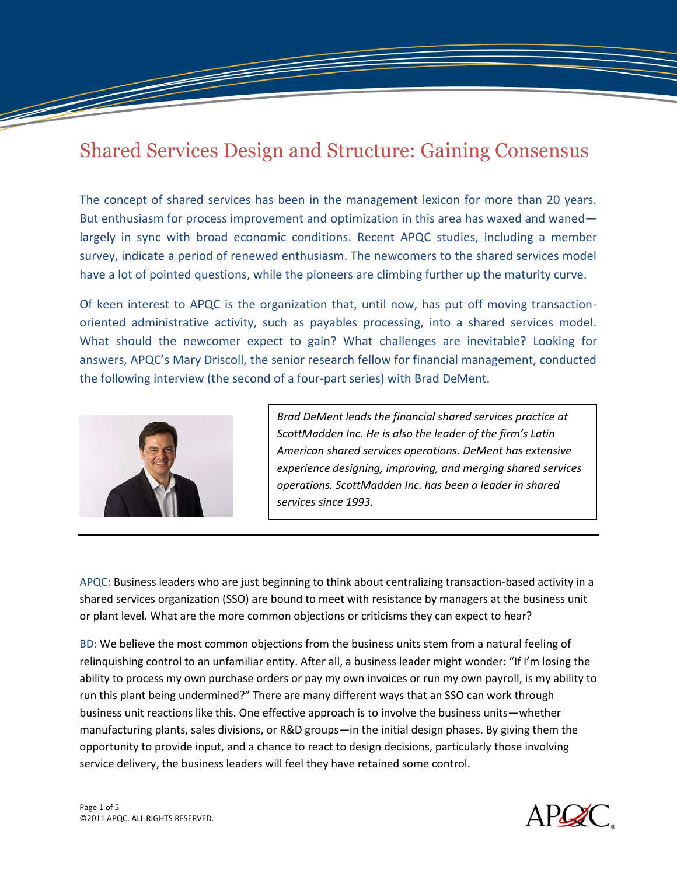# Shared Services Design and Structure: Gaining Consensus

The concept of shared services has been in the management lexicon for more than 20 years. But enthusiasm for process improvement and optimization in this area has waxed and waned largely in sync with broad economic conditions. Recent APQC studies, including a member survey, indicate a period of renewed enthusiasm. The newcomers to the shared services model have a lot of pointed questions, while the pioneers are climbing further up the maturity curve.

Of keen interest to APQC is the organization that, until now, has put off moving transactionoriented administrative activity, such as payables processing, into a shared services model. What should the newcomer expect to gain? What challenges are inevitable? Looking for answers, APQC's Mary Driscoll, the senior research fellow for financial management, conducted the following interview (the second of a four-part series) with Brad DeMent.



<u> The Communication and the Communication and the Communication and the Communication and the Communication and the Communication and the Communication and the Communication and the Communication and the Communication and </u>

*Brad DeMent leads the financial shared services practice at ScottMadden Inc. He is also the leader of the firm's Latin American shared services operations. DeMent has extensive experience designing, improving, and merging shared services operations. ScottMadden Inc. has been a leader in shared services since 1993.*

APQC: Business leaders who are just beginning to think about centralizing transaction-based activity in a shared services organization (SSO) are bound to meet with resistance by managers at the business unit or plant level. What are the more common objections or criticisms they can expect to hear?

BD: We believe the most common objections from the business units stem from a natural feeling of relinquishing control to an unfamiliar entity. After all, a business leader might wonder: "If I'm losing the ability to process my own purchase orders or pay my own invoices or run my own payroll, is my ability to run this plant being undermined?" There are many different ways that an SSO can work through business unit reactions like this. One effective approach is to involve the business units—whether manufacturing plants, sales divisions, or R&D groups—in the initial design phases. By giving them the opportunity to provide input, and a chance to react to design decisions, particularly those involving service delivery, the business leaders will feel they have retained some control.

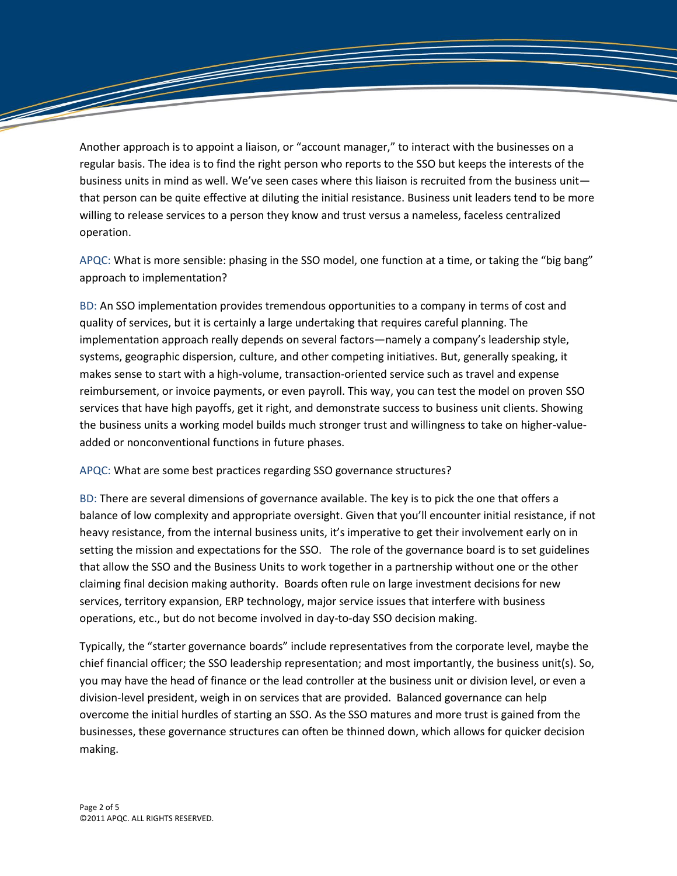Another approach is to appoint a liaison, or "account manager," to interact with the businesses on a regular basis. The idea is to find the right person who reports to the SSO but keeps the interests of the business units in mind as well. We've seen cases where this liaison is recruited from the business unit that person can be quite effective at diluting the initial resistance. Business unit leaders tend to be more willing to release services to a person they know and trust versus a nameless, faceless centralized operation.

APQC: What is more sensible: phasing in the SSO model, one function at a time, or taking the "big bang" approach to implementation?

BD: An SSO implementation provides tremendous opportunities to a company in terms of cost and quality of services, but it is certainly a large undertaking that requires careful planning. The implementation approach really depends on several factors—namely a company's leadership style, systems, geographic dispersion, culture, and other competing initiatives. But, generally speaking, it makes sense to start with a high-volume, transaction-oriented service such as travel and expense reimbursement, or invoice payments, or even payroll. This way, you can test the model on proven SSO services that have high payoffs, get it right, and demonstrate success to business unit clients. Showing the business units a working model builds much stronger trust and willingness to take on higher-valueadded or nonconventional functions in future phases.

## APQC: What are some best practices regarding SSO governance structures?

BD: There are several dimensions of governance available. The key is to pick the one that offers a balance of low complexity and appropriate oversight. Given that you'll encounter initial resistance, if not heavy resistance, from the internal business units, it's imperative to get their involvement early on in setting the mission and expectations for the SSO. The role of the governance board is to set guidelines that allow the SSO and the Business Units to work together in a partnership without one or the other claiming final decision making authority. Boards often rule on large investment decisions for new services, territory expansion, ERP technology, major service issues that interfere with business operations, etc., but do not become involved in day-to-day SSO decision making.

Typically, the "starter governance boards" include representatives from the corporate level, maybe the chief financial officer; the SSO leadership representation; and most importantly, the business unit(s). So, you may have the head of finance or the lead controller at the business unit or division level, or even a division-level president, weigh in on services that are provided. Balanced governance can help overcome the initial hurdles of starting an SSO. As the SSO matures and more trust is gained from the businesses, these governance structures can often be thinned down, which allows for quicker decision making.

T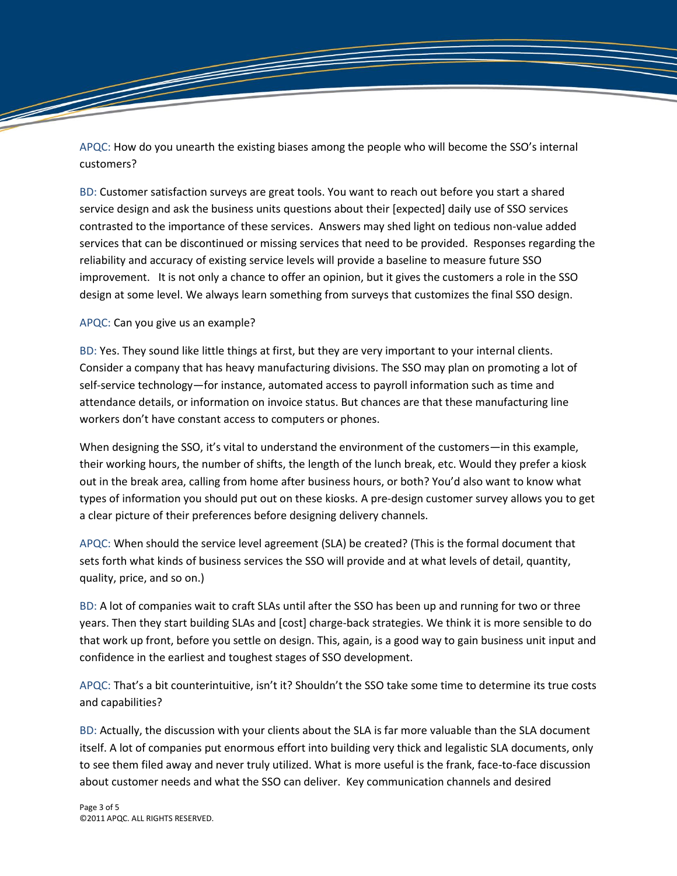APQC: How do you unearth the existing biases among the people who will become the SSO's internal customers?

BD: Customer satisfaction surveys are great tools. You want to reach out before you start a shared service design and ask the business units questions about their [expected] daily use of SSO services contrasted to the importance of these services. Answers may shed light on tedious non-value added services that can be discontinued or missing services that need to be provided. Responses regarding the reliability and accuracy of existing service levels will provide a baseline to measure future SSO improvement. It is not only a chance to offer an opinion, but it gives the customers a role in the SSO design at some level. We always learn something from surveys that customizes the final SSO design.

## APQC: Can you give us an example?

<u> F</u>

BD: Yes. They sound like little things at first, but they are very important to your internal clients. Consider a company that has heavy manufacturing divisions. The SSO may plan on promoting a lot of self-service technology—for instance, automated access to payroll information such as time and attendance details, or information on invoice status. But chances are that these manufacturing line workers don't have constant access to computers or phones.

When designing the SSO, it's vital to understand the environment of the customers—in this example, their working hours, the number of shifts, the length of the lunch break, etc. Would they prefer a kiosk out in the break area, calling from home after business hours, or both? You'd also want to know what types of information you should put out on these kiosks. A pre-design customer survey allows you to get a clear picture of their preferences before designing delivery channels.

APQC: When should the service level agreement (SLA) be created? (This is the formal document that sets forth what kinds of business services the SSO will provide and at what levels of detail, quantity, quality, price, and so on.)

BD: A lot of companies wait to craft SLAs until after the SSO has been up and running for two or three years. Then they start building SLAs and [cost] charge-back strategies. We think it is more sensible to do that work up front, before you settle on design. This, again, is a good way to gain business unit input and confidence in the earliest and toughest stages of SSO development.

APQC: That's a bit counterintuitive, isn't it? Shouldn't the SSO take some time to determine its true costs and capabilities?

BD: Actually, the discussion with your clients about the SLA is far more valuable than the SLA document itself. A lot of companies put enormous effort into building very thick and legalistic SLA documents, only to see them filed away and never truly utilized. What is more useful is the frank, face-to-face discussion about customer needs and what the SSO can deliver. Key communication channels and desired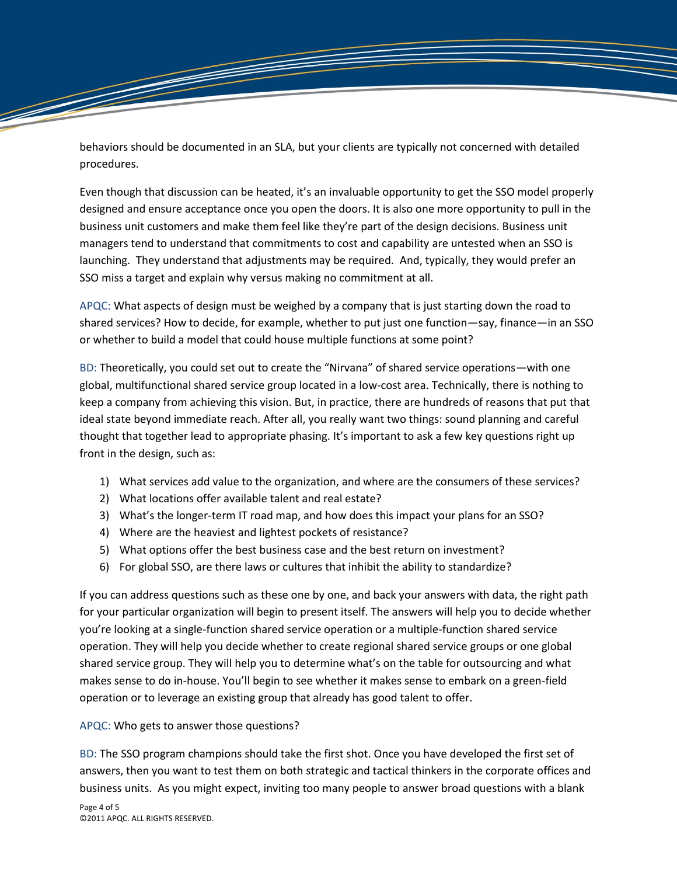behaviors should be documented in an SLA, but your clients are typically not concerned with detailed procedures.

Even though that discussion can be heated, it's an invaluable opportunity to get the SSO model properly designed and ensure acceptance once you open the doors. It is also one more opportunity to pull in the business unit customers and make them feel like they're part of the design decisions. Business unit managers tend to understand that commitments to cost and capability are untested when an SSO is launching. They understand that adjustments may be required. And, typically, they would prefer an SSO miss a target and explain why versus making no commitment at all.

APQC: What aspects of design must be weighed by a company that is just starting down the road to shared services? How to decide, for example, whether to put just one function—say, finance—in an SSO or whether to build a model that could house multiple functions at some point?

BD: Theoretically, you could set out to create the "Nirvana" of shared service operations—with one global, multifunctional shared service group located in a low-cost area. Technically, there is nothing to keep a company from achieving this vision. But, in practice, there are hundreds of reasons that put that ideal state beyond immediate reach. After all, you really want two things: sound planning and careful thought that together lead to appropriate phasing. It's important to ask a few key questions right up front in the design, such as:

- 1) What services add value to the organization, and where are the consumers of these services?
- 2) What locations offer available talent and real estate?
- 3) What's the longer-term IT road map, and how does this impact your plans for an SSO?
- 4) Where are the heaviest and lightest pockets of resistance?
- 5) What options offer the best business case and the best return on investment?
- 6) For global SSO, are there laws or cultures that inhibit the ability to standardize?

If you can address questions such as these one by one, and back your answers with data, the right path for your particular organization will begin to present itself. The answers will help you to decide whether you're looking at a single-function shared service operation or a multiple-function shared service operation. They will help you decide whether to create regional shared service groups or one global shared service group. They will help you to determine what's on the table for outsourcing and what makes sense to do in-house. You'll begin to see whether it makes sense to embark on a green-field operation or to leverage an existing group that already has good talent to offer.

## APQC: Who gets to answer those questions?

BD: The SSO program champions should take the first shot. Once you have developed the first set of answers, then you want to test them on both strategic and tactical thinkers in the corporate offices and business units. As you might expect, inviting too many people to answer broad questions with a blank

<u> The Contract of the Contract of the Contract of the Contract of The Contract of The Contract of The Contract of The Contract of The Contract of The Contract of The Contract of The Contract of The Contract of The Contract</u>